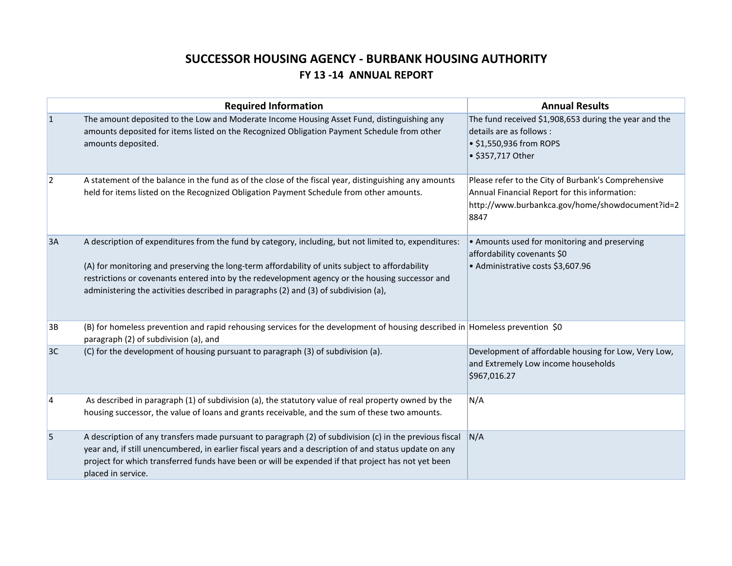# **SUCCESSOR HOUSING AGENCY - BURBANK HOUSING AUTHORITY FY 13 -14 ANNUAL REPORT**

|           | <b>Required Information</b>                                                                                                                                                                                                                                                                                                                                                                         | <b>Annual Results</b>                                                                                                                                           |
|-----------|-----------------------------------------------------------------------------------------------------------------------------------------------------------------------------------------------------------------------------------------------------------------------------------------------------------------------------------------------------------------------------------------------------|-----------------------------------------------------------------------------------------------------------------------------------------------------------------|
| 1         | The amount deposited to the Low and Moderate Income Housing Asset Fund, distinguishing any<br>amounts deposited for items listed on the Recognized Obligation Payment Schedule from other<br>amounts deposited.                                                                                                                                                                                     | The fund received \$1,908,653 during the year and the<br>details are as follows :<br>• \$1,550,936 from ROPS<br>• \$357,717 Other                               |
| $\vert$ 2 | A statement of the balance in the fund as of the close of the fiscal year, distinguishing any amounts<br>held for items listed on the Recognized Obligation Payment Schedule from other amounts.                                                                                                                                                                                                    | Please refer to the City of Burbank's Comprehensive<br>Annual Financial Report for this information:<br>http://www.burbankca.gov/home/showdocument?id=2<br>8847 |
| 3A        | A description of expenditures from the fund by category, including, but not limited to, expenditures:<br>(A) for monitoring and preserving the long-term affordability of units subject to affordability<br>restrictions or covenants entered into by the redevelopment agency or the housing successor and<br>administering the activities described in paragraphs (2) and (3) of subdivision (a), | • Amounts used for monitoring and preserving<br>affordability covenants \$0<br>• Administrative costs \$3,607.96                                                |
| 3B        | (B) for homeless prevention and rapid rehousing services for the development of housing described in Homeless prevention \$0<br>paragraph (2) of subdivision (a), and                                                                                                                                                                                                                               |                                                                                                                                                                 |
| 3C        | (C) for the development of housing pursuant to paragraph (3) of subdivision (a).                                                                                                                                                                                                                                                                                                                    | Development of affordable housing for Low, Very Low,<br>and Extremely Low income households<br>\$967,016.27                                                     |
| 4         | As described in paragraph (1) of subdivision (a), the statutory value of real property owned by the<br>housing successor, the value of loans and grants receivable, and the sum of these two amounts.                                                                                                                                                                                               | N/A                                                                                                                                                             |
| 5         | A description of any transfers made pursuant to paragraph (2) of subdivision (c) in the previous fiscal<br>year and, if still unencumbered, in earlier fiscal years and a description of and status update on any<br>project for which transferred funds have been or will be expended if that project has not yet been<br>placed in service.                                                       | N/A                                                                                                                                                             |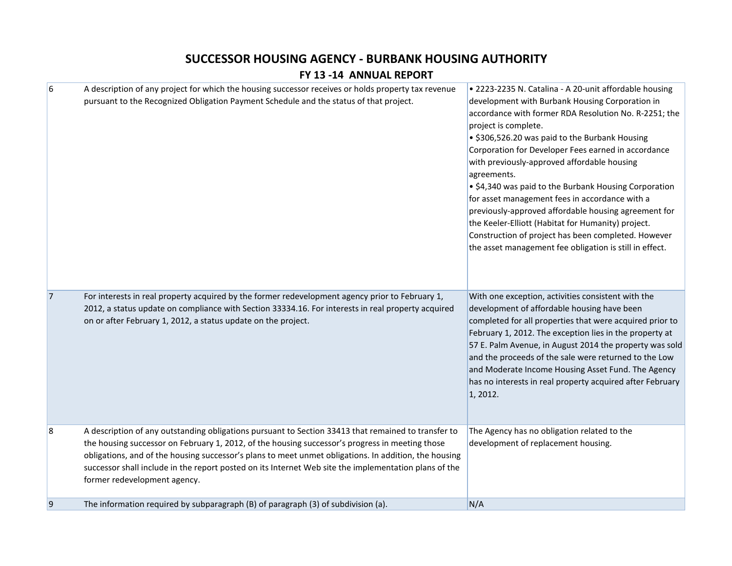## **SUCCESSOR HOUSING AGENCY - BURBANK HOUSING AUTHORITY**

#### **FY 13 -14 ANNUAL REPORT**

| 6              | A description of any project for which the housing successor receives or holds property tax revenue<br>pursuant to the Recognized Obligation Payment Schedule and the status of that project.                                                                                                                                                                                                                                                            | · 2223-2235 N. Catalina - A 20-unit affordable housing<br>development with Burbank Housing Corporation in<br>accordance with former RDA Resolution No. R-2251; the<br>project is complete.<br>• \$306,526.20 was paid to the Burbank Housing<br>Corporation for Developer Fees earned in accordance<br>with previously-approved affordable housing<br>agreements.<br>• \$4,340 was paid to the Burbank Housing Corporation<br>for asset management fees in accordance with a<br>previously-approved affordable housing agreement for<br>the Keeler-Elliott (Habitat for Humanity) project.<br>Construction of project has been completed. However<br>the asset management fee obligation is still in effect. |
|----------------|----------------------------------------------------------------------------------------------------------------------------------------------------------------------------------------------------------------------------------------------------------------------------------------------------------------------------------------------------------------------------------------------------------------------------------------------------------|--------------------------------------------------------------------------------------------------------------------------------------------------------------------------------------------------------------------------------------------------------------------------------------------------------------------------------------------------------------------------------------------------------------------------------------------------------------------------------------------------------------------------------------------------------------------------------------------------------------------------------------------------------------------------------------------------------------|
| 7              | For interests in real property acquired by the former redevelopment agency prior to February 1,<br>2012, a status update on compliance with Section 33334.16. For interests in real property acquired<br>on or after February 1, 2012, a status update on the project.                                                                                                                                                                                   | With one exception, activities consistent with the<br>development of affordable housing have been<br>completed for all properties that were acquired prior to<br>February 1, 2012. The exception lies in the property at<br>57 E. Palm Avenue, in August 2014 the property was sold<br>and the proceeds of the sale were returned to the Low<br>and Moderate Income Housing Asset Fund. The Agency<br>has no interests in real property acquired after February<br>1, 2012.                                                                                                                                                                                                                                  |
| $\overline{8}$ | A description of any outstanding obligations pursuant to Section 33413 that remained to transfer to<br>the housing successor on February 1, 2012, of the housing successor's progress in meeting those<br>obligations, and of the housing successor's plans to meet unmet obligations. In addition, the housing<br>successor shall include in the report posted on its Internet Web site the implementation plans of the<br>former redevelopment agency. | The Agency has no obligation related to the<br>development of replacement housing.                                                                                                                                                                                                                                                                                                                                                                                                                                                                                                                                                                                                                           |
| 9              | The information required by subparagraph (B) of paragraph (3) of subdivision (a).                                                                                                                                                                                                                                                                                                                                                                        | N/A                                                                                                                                                                                                                                                                                                                                                                                                                                                                                                                                                                                                                                                                                                          |